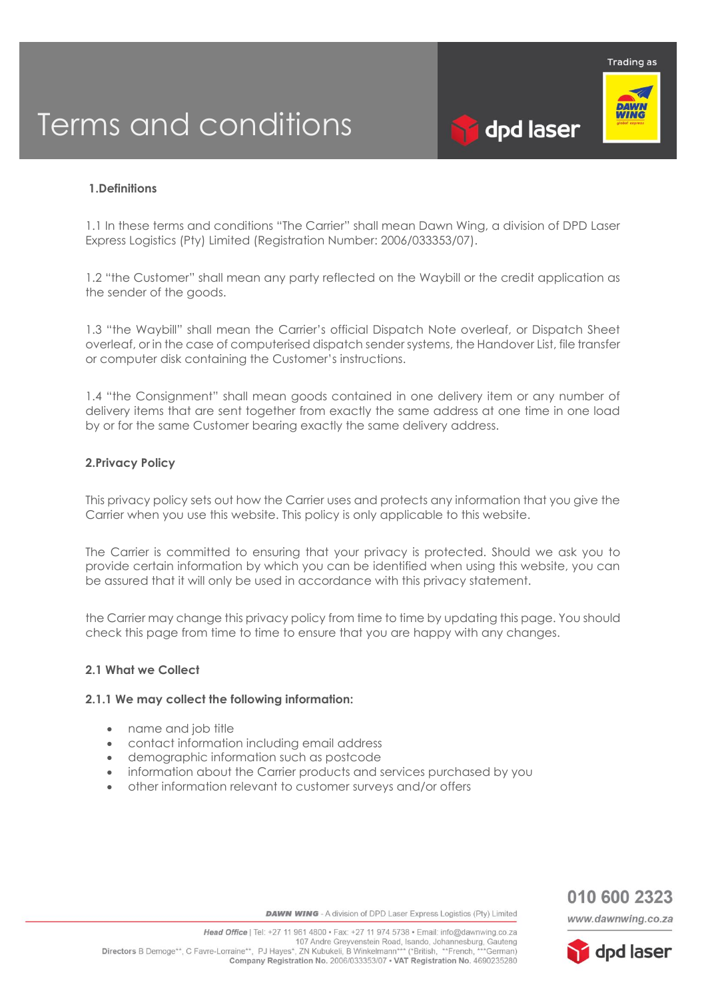# Terms and conditions



**Trading as** 

## **1.Definitions**

1.1 In these terms and conditions "The Carrier" shall mean Dawn Wing, a division of DPD Laser Express Logistics (Pty) Limited (Registration Number: 2006/033353/07).

1.2 "the Customer" shall mean any party reflected on the Waybill or the credit application as the sender of the goods.

1.3 "the Waybill" shall mean the Carrier's official Dispatch Note overleaf, or Dispatch Sheet overleaf, or in the case of computerised dispatch sender systems, the Handover List, file transfer or computer disk containing the Customer's instructions.

1.4 "the Consignment" shall mean goods contained in one delivery item or any number of delivery items that are sent together from exactly the same address at one time in one load by or for the same Customer bearing exactly the same delivery address.

## **2.Privacy Policy**

This privacy policy sets out how the Carrier uses and protects any information that you give the Carrier when you use this website. This policy is only applicable to this website.

The Carrier is committed to ensuring that your privacy is protected. Should we ask you to provide certain information by which you can be identified when using this website, you can be assured that it will only be used in accordance with this privacy statement.

the Carrier may change this privacy policy from time to time by updating this page. You should check this page from time to time to ensure that you are happy with any changes.

## **2.1 What we Collect**

## **2.1.1 We may collect the following information:**

- name and job title
- contact information including email address
- demographic information such as postcode
- information about the Carrier products and services purchased by you
- other information relevant to customer surveys and/or offers

## 010 600 2323

www.dawnwing.co.za



**DAWN WING** - A division of DPD Laser Express Logistics (Pty) Limited

dpd laser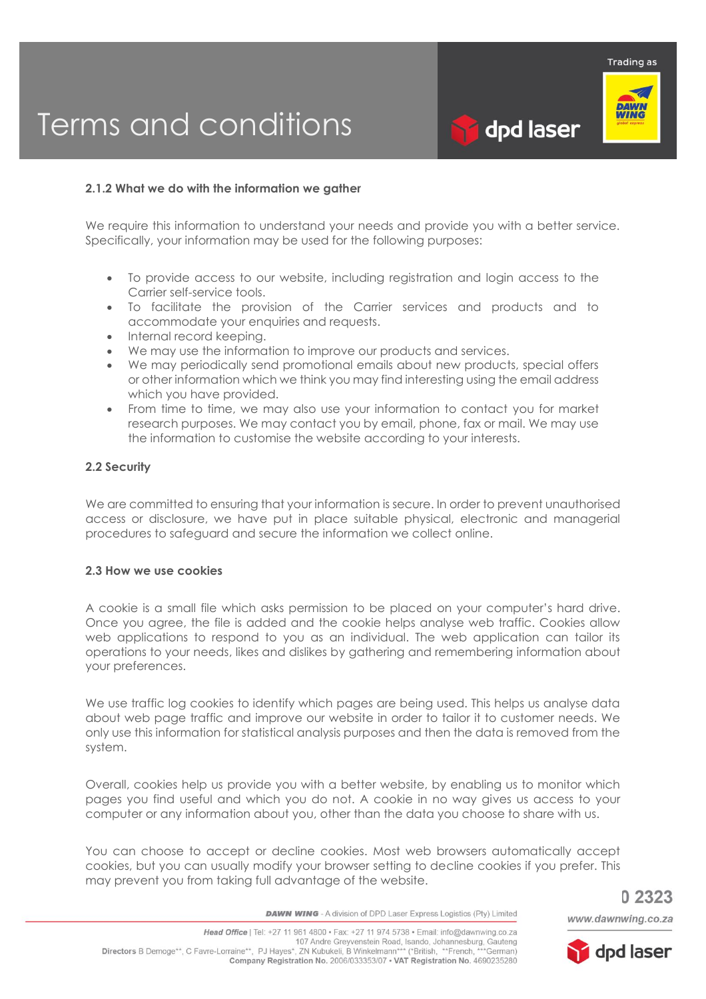



## Terms and conditions

## **2.1.2 What we do with the information we gather**

We require this information to understand your needs and provide you with a better service. Specifically, your information may be used for the following purposes:

- To provide access to our website, including registration and login access to the Carrier self-service tools.
- To facilitate the provision of the Carrier services and products and to accommodate your enquiries and requests.
- Internal record keeping.
- We may use the information to improve our products and services.
- We may periodically send promotional emails about new products, special offers or other information which we think you may find interesting using the email address which you have provided.
- From time to time, we may also use your information to contact you for market research purposes. We may contact you by email, phone, fax or mail. We may use the information to customise the website according to your interests.

## **2.2 Security**

We are committed to ensuring that your information is secure. In order to prevent unauthorised access or disclosure, we have put in place suitable physical, electronic and managerial procedures to safeguard and secure the information we collect online.

## **2.3 How we use cookies**

A cookie is a small file which asks permission to be placed on your computer's hard drive. Once you agree, the file is added and the cookie helps analyse web traffic. Cookies allow web applications to respond to you as an individual. The web application can tailor its operations to your needs, likes and dislikes by gathering and remembering information about your preferences.

We use traffic log cookies to identify which pages are being used. This helps us analyse data about web page traffic and improve our website in order to tailor it to customer needs. We only use this information for statistical analysis purposes and then the data is removed from the system.

Overall, cookies help us provide you with a better website, by enabling us to monitor which pages you find useful and which you do not. A cookie in no way gives us access to your computer or any information about you, other than the data you choose to share with us.

You can choose to accept or decline cookies. Most web browsers automatically accept cookies, but you can usually modify your browser setting to decline cookies if you prefer. This may prevent you from taking full advantage of the website.

**DAWN WING** - A division of DPD Laser Express Logistics (Pty) Limited



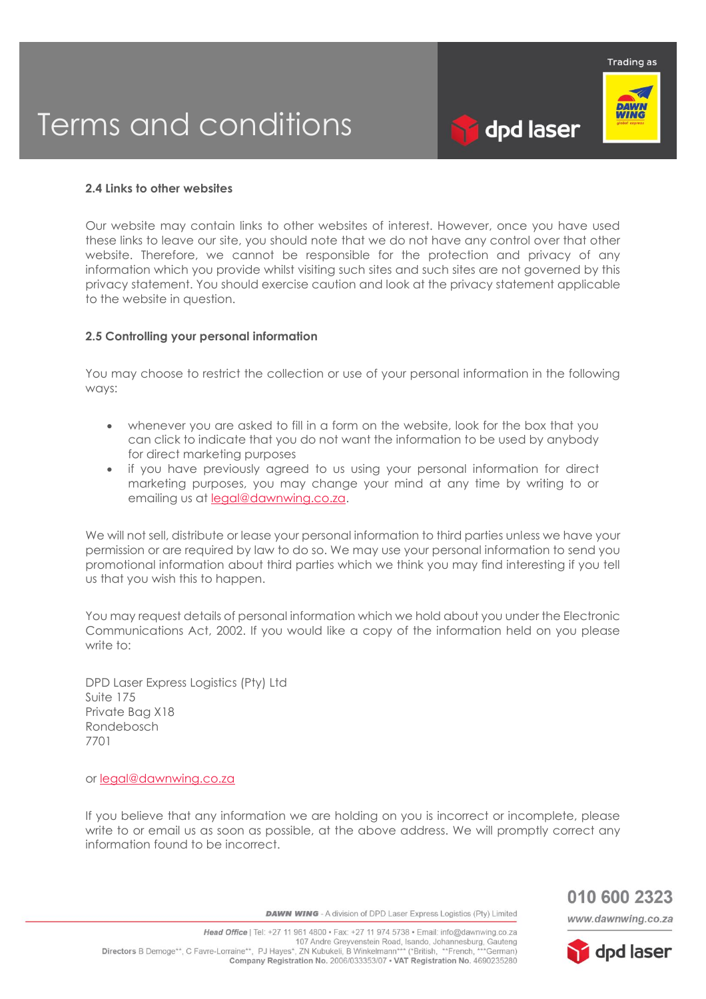





#### **2.4 Links to other websites**

Our website may contain links to other websites of interest. However, once you have used these links to leave our site, you should note that we do not have any control over that other website. Therefore, we cannot be responsible for the protection and privacy of any information which you provide whilst visiting such sites and such sites are not governed by this privacy statement. You should exercise caution and look at the privacy statement applicable to the website in question.

## **2.5 Controlling your personal information**

You may choose to restrict the collection or use of your personal information in the following ways:

- whenever you are asked to fill in a form on the website, look for the box that you can click to indicate that you do not want the information to be used by anybody for direct marketing purposes
- if you have previously agreed to us using your personal information for direct marketing purposes, you may change your mind at any time by writing to or emailing us at [legal@dawnwing.co.za.](mailto:legal@dawnwing.co.za)

We will not sell, distribute or lease your personal information to third parties unless we have your permission or are required by law to do so. We may use your personal information to send you promotional information about third parties which we think you may find interesting if you tell us that you wish this to happen.

You may request details of personal information which we hold about you under the Electronic Communications Act, 2002. If you would like a copy of the information held on you please write to:

DPD Laser Express Logistics (Pty) Ltd Suite 175 Private Bag X18 Rondebosch 7701

or [legal@dawnwing.co.za](mailto:legal@dawnwing.co.za?subject=Privacy%20Policy%20Information%20Request)

If you believe that any information we are holding on you is incorrect or incomplete, please write to or email us as soon as possible, at the above address. We will promptly correct any information found to be incorrect.

**DAWN WING** - A division of DPD Laser Express Logistics (Pty) Limited

010 600 2323

www.dawnwing.co.za

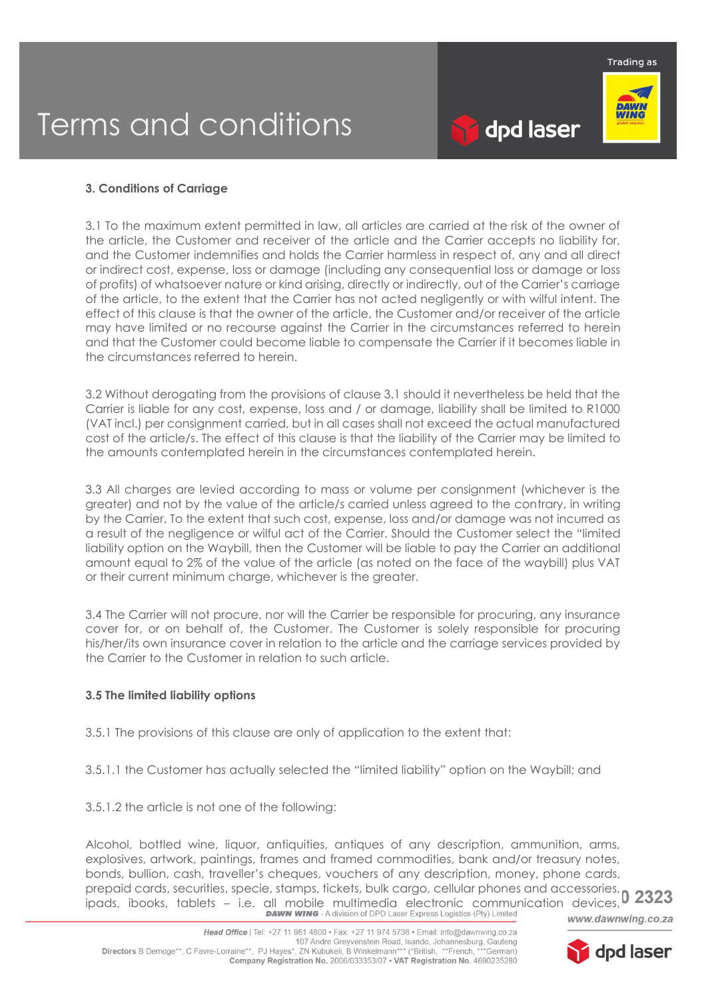



## **3. Conditions of Carriage**

3.1 To the maximum extent permitted in law, all articles are carried at the risk of the owner of the article, the Customer and receiver of the article and the Carrier accepts no liability for, and the Customer indemnifies and holds the Carrier harmless in respect of, any and all direct or indirect cost, expense, loss or damage (including any consequential loss or damage or loss of profits) of whatsoever nature or kind arising, directly or indirectly, out of the Carrier's carriage of the article, to the extent that the Carrier has not acted negligently or with wilful intent. The effect of this clause is that the owner of the article, the Customer and/or receiver of the article may have limited or no recourse against the Carrier in the circumstances referred to herein and that the Customer could become liable to compensate the Carrier if it becomes liable in the circumstances referred to herein.

3.2 Without derogating from the provisions of clause 3.1 should it nevertheless be held that the Carrier is liable for any cost, expense, loss and / or damage, liability shall be limited to R1000 (VAT incl.) per consignment carried, but in all cases shall not exceed the actual manufactured cost of the article/s. The effect of this clause is that the liability of the Carrier may be limited to the amounts contemplated herein in the circumstances contemplated herein.

3.3 All charges are levied according to mass or volume per consignment (whichever is the greater) and not by the value of the article/s carried unless agreed to the contrary, in writing by the Carrier. To the extent that such cost, expense, loss and/or damage was not incurred as a result of the negligence or wilful act of the Carrier. Should the Customer select the "limited liability option on the Waybill, then the Customer will be liable to pay the Carrier an additional amount equal to 2% of the value of the article (as noted on the face of the waybill) plus VAT or their current minimum charge, whichever is the greater.

3.4 The Carrier will not procure, nor will the Carrier be responsible for procuring, any insurance cover for, or on behalf of, the Customer. The Customer is solely responsible for procuring his/her/its own insurance cover in relation to the article and the carriage services provided by the Carrier to the Customer in relation to such article.

## **3.5 The limited liability options**

3.5.1 The provisions of this clause are only of application to the extent that:

3.5.1.1 the Customer has actually selected the "limited liability" option on the Waybill; and

3.5.1.2 the article is not one of the following:

Alcohol, bottled wine, liquor, antiquities, antiques of any description, ammunition, arms, explosives, artwork, paintings, frames and framed commodities, bank and/or treasury notes, bonds, bullion, cash, traveller's cheques, vouchers of any description, money, phone cards, prepaid cards, securities, specie, stamps, tickets, bulk cargo, cellular phones and accessories, ipads, ibooks, tablets – i.e. all mobile multimedia electronic communication devices, www.dawnwing.co.za

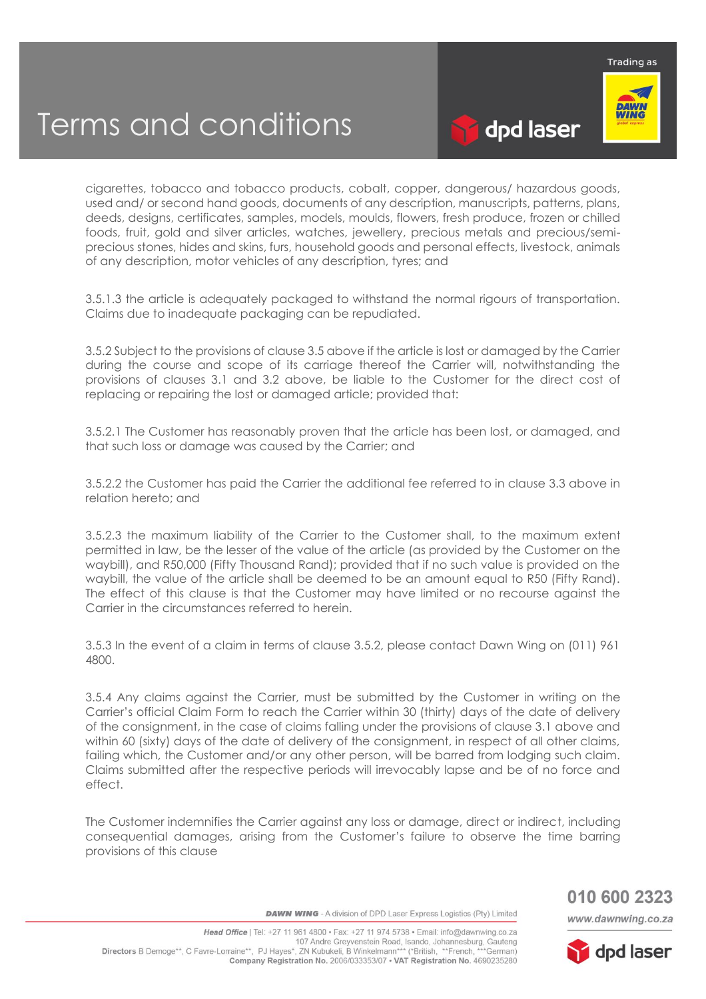

**Trading as** 

**DAWN**<br>WING

cigarettes, tobacco and tobacco products, cobalt, copper, dangerous/ hazardous goods, used and/ or second hand goods, documents of any description, manuscripts, patterns, plans, deeds, designs, certificates, samples, models, moulds, flowers, fresh produce, frozen or chilled foods, fruit, gold and silver articles, watches, jewellery, precious metals and precious/semiprecious stones, hides and skins, furs, household goods and personal effects, livestock, animals of any description, motor vehicles of any description, tyres; and

3.5.1.3 the article is adequately packaged to withstand the normal rigours of transportation. Claims due to inadequate packaging can be repudiated.

3.5.2 Subject to the provisions of clause 3.5 above if the article is lost or damaged by the Carrier during the course and scope of its carriage thereof the Carrier will, notwithstanding the provisions of clauses 3.1 and 3.2 above, be liable to the Customer for the direct cost of replacing or repairing the lost or damaged article; provided that:

3.5.2.1 The Customer has reasonably proven that the article has been lost, or damaged, and that such loss or damage was caused by the Carrier; and

3.5.2.2 the Customer has paid the Carrier the additional fee referred to in clause 3.3 above in relation hereto; and

3.5.2.3 the maximum liability of the Carrier to the Customer shall, to the maximum extent permitted in law, be the lesser of the value of the article (as provided by the Customer on the waybill), and R50,000 (Fifty Thousand Rand); provided that if no such value is provided on the waybill, the value of the article shall be deemed to be an amount equal to R50 (Fifty Rand). The effect of this clause is that the Customer may have limited or no recourse against the Carrier in the circumstances referred to herein.

3.5.3 In the event of a claim in terms of clause 3.5.2, please contact Dawn Wing on (011) 961 4800.

3.5.4 Any claims against the Carrier, must be submitted by the Customer in writing on the Carrier's official Claim Form to reach the Carrier within 30 (thirty) days of the date of delivery of the consignment, in the case of claims falling under the provisions of clause 3.1 above and within 60 (sixty) days of the date of delivery of the consignment, in respect of all other claims, failing which, the Customer and/or any other person, will be barred from lodging such claim. Claims submitted after the respective periods will irrevocably lapse and be of no force and effect.

The Customer indemnifies the Carrier against any loss or damage, direct or indirect, including consequential damages, arising from the Customer's failure to observe the time barring provisions of this clause

**DAWN WING** - A division of DPD Laser Express Logistics (Pty) Limited

010 600 2323

www.dawnwing.co.za

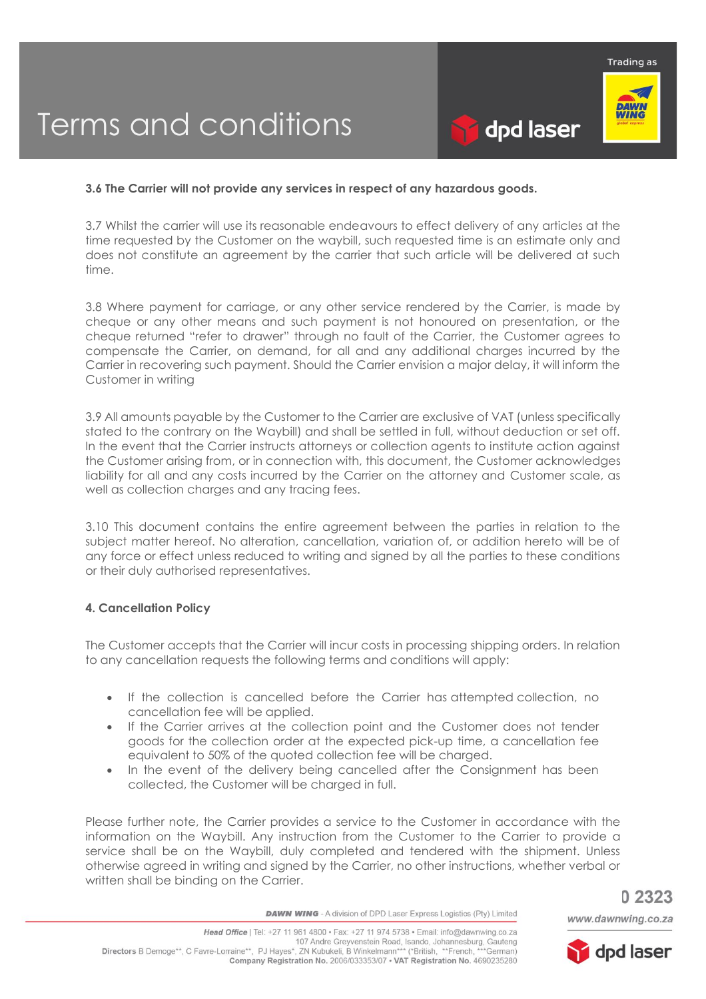



## **3.6 The Carrier will not provide any services in respect of any hazardous goods.**

3.7 Whilst the carrier will use its reasonable endeavours to effect delivery of any articles at the time requested by the Customer on the waybill, such requested time is an estimate only and does not constitute an agreement by the carrier that such article will be delivered at such time.

3.8 Where payment for carriage, or any other service rendered by the Carrier, is made by cheque or any other means and such payment is not honoured on presentation, or the cheque returned "refer to drawer" through no fault of the Carrier, the Customer agrees to compensate the Carrier, on demand, for all and any additional charges incurred by the Carrier in recovering such payment. Should the Carrier envision a major delay, it will inform the Customer in writing

3.9 All amounts payable by the Customer to the Carrier are exclusive of VAT (unless specifically stated to the contrary on the Waybill) and shall be settled in full, without deduction or set off. In the event that the Carrier instructs attorneys or collection agents to institute action against the Customer arising from, or in connection with, this document, the Customer acknowledges liability for all and any costs incurred by the Carrier on the attorney and Customer scale, as well as collection charges and any tracing fees.

3.10 This document contains the entire agreement between the parties in relation to the subject matter hereof. No alteration, cancellation, variation of, or addition hereto will be of any force or effect unless reduced to writing and signed by all the parties to these conditions or their duly authorised representatives.

## **4. Cancellation Policy**

The Customer accepts that the Carrier will incur costs in processing shipping orders. In relation to any cancellation requests the following terms and conditions will apply:

- If the collection is cancelled before the Carrier has attempted collection, no cancellation fee will be applied.
- If the Carrier arrives at the collection point and the Customer does not tender goods for the collection order at the expected pick-up time, a cancellation fee equivalent to 50% of the quoted collection fee will be charged.
- In the event of the delivery being cancelled after the Consignment has been collected, the Customer will be charged in full.

Please further note, the Carrier provides a service to the Customer in accordance with the information on the Waybill. Any instruction from the Customer to the Carrier to provide a service shall be on the Waybill, duly completed and tendered with the shipment. Unless otherwise agreed in writing and signed by the Carrier, no other instructions, whether verbal or written shall be binding on the Carrier.

**DAWN WING** - A division of DPD Laser Express Logistics (Pty) Limited



www.dawnwing.co.za

 $0.2323$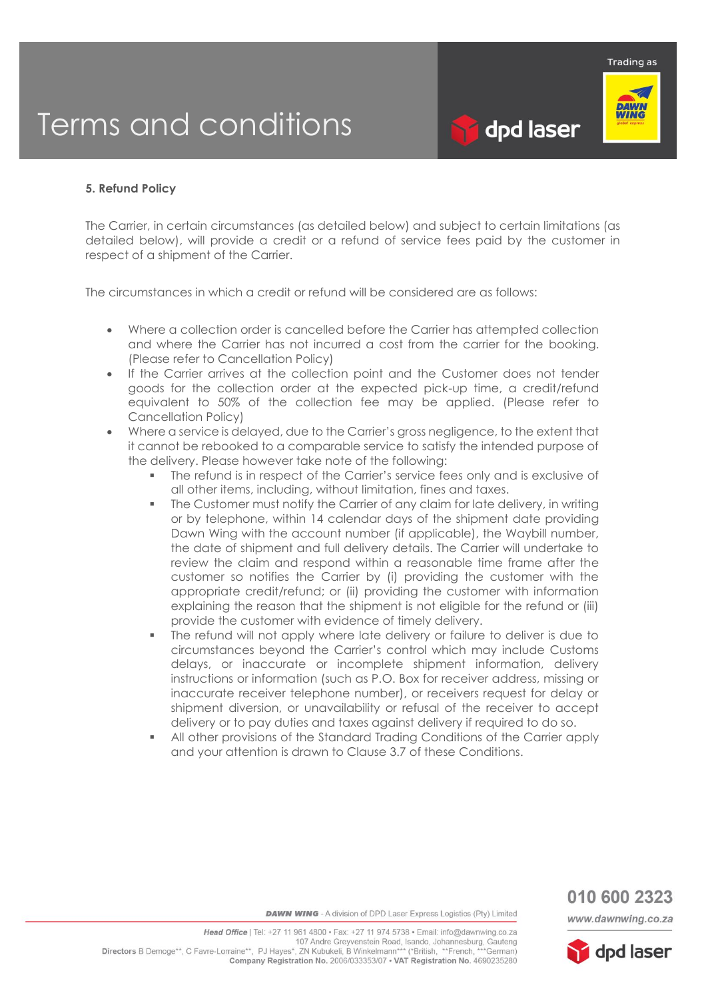#### **Trading as**

## Terms and conditions





## **5. Refund Policy**

The Carrier, in certain circumstances (as detailed below) and subject to certain limitations (as detailed below), will provide a credit or a refund of service fees paid by the customer in respect of a shipment of the Carrier.

The circumstances in which a credit or refund will be considered are as follows:

- Where a collection order is cancelled before the Carrier has attempted collection and where the Carrier has not incurred a cost from the carrier for the booking. (Please refer to Cancellation Policy)
- If the Carrier arrives at the collection point and the Customer does not tender goods for the collection order at the expected pick-up time, a credit/refund equivalent to 50% of the collection fee may be applied. (Please refer to Cancellation Policy)
- Where a service is delayed, due to the Carrier's gross negligence, to the extent that it cannot be rebooked to a comparable service to satisfy the intended purpose of the delivery. Please however take note of the following:
	- The refund is in respect of the Carrier's service fees only and is exclusive of all other items, including, without limitation, fines and taxes.
	- The Customer must notify the Carrier of any claim for late delivery, in writing or by telephone, within 14 calendar days of the shipment date providing Dawn Wing with the account number (if applicable), the Waybill number, the date of shipment and full delivery details. The Carrier will undertake to review the claim and respond within a reasonable time frame after the customer so notifies the Carrier by (i) providing the customer with the appropriate credit/refund; or (ii) providing the customer with information explaining the reason that the shipment is not eligible for the refund or (iii) provide the customer with evidence of timely delivery.
	- The refund will not apply where late delivery or failure to deliver is due to circumstances beyond the Carrier's control which may include Customs delays, or inaccurate or incomplete shipment information, delivery instructions or information (such as P.O. Box for receiver address, missing or inaccurate receiver telephone number), or receivers request for delay or shipment diversion, or unavailability or refusal of the receiver to accept delivery or to pay duties and taxes against delivery if required to do so.
	- All other provisions of the Standard Trading Conditions of the Carrier apply and your attention is drawn to Clause 3.7 of these Conditions.

**DAWN WING** - A division of DPD Laser Express Logistics (Pty) Limited



010 600 2323

www.dawnwing.co.za